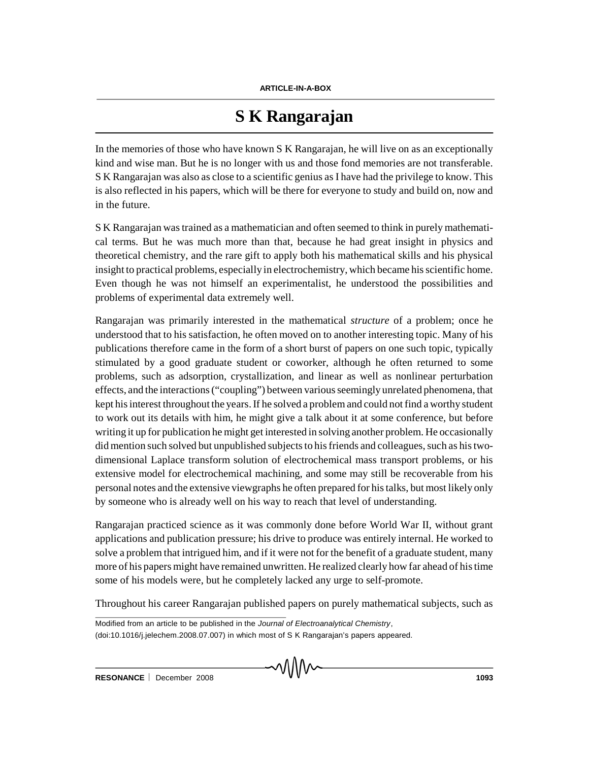## **S K Rangarajan**

In the memories of those who have known S K Rangarajan, he will live on as an exceptionally kind and wise man. But he is no longer with us and those fond memories are not transferable. S K Rangarajan was also as close to a scientific genius as I have had the privilege to know. This is also reflected in his papers, which will be there for everyone to study and build on, now and in the future.

S K Rangarajan was trained as a mathematician and often seemed to think in purely mathematical terms. But he was much more than that, because he had great insight in physics and theoretical chemistry, and the rare gift to apply both his mathematical skills and his physical insight to practical problems, especially in electrochemistry, which became his scientific home. Even though he was not himself an experimentalist, he understood the possibilities and problems of experimental data extremely well.

Rangarajan was primarily interested in the mathematical *structure* of a problem; once he understood that to his satisfaction, he often moved on to another interesting topic. Many of his publications therefore came in the form of a short burst of papers on one such topic, typically stimulated by a good graduate student or coworker, although he often returned to some problems, such as adsorption, crystallization, and linear as well as nonlinear perturbation effects, and the interactions ("coupling") between various seemingly unrelated phenomena, that kept his interest throughout the years. If he solved a problem and could not find a worthy student to work out its details with him, he might give a talk about it at some conference, but before writing it up for publication he might get interested in solving another problem. He occasionally did mention such solved but unpublished subjects to his friends and colleagues, such as his twodimensional Laplace transform solution of electrochemical mass transport problems, or his extensive model for electrochemical machining, and some may still be recoverable from his personal notes and the extensive viewgraphs he often prepared for his talks, but most likely only by someone who is already well on his way to reach that level of understanding.

Rangarajan practiced science as it was commonly done before World War II, without grant applications and publication pressure; his drive to produce was entirely internal. He worked to solve a problem that intrigued him, and if it were not for the benefit of a graduate student, many more of his papers might have remained unwritten. He realized clearly how far ahead of his time some of his models were, but he completely lacked any urge to self-promote.

Throughout his career Rangarajan published papers on purely mathematical subjects, such as

Modified from an article to be published in the *Journal of Electroanalytical Chemistry*, (doi:10.1016/j.jelechem.2008.07.007) in which most of S K Rangarajan's papers appeared.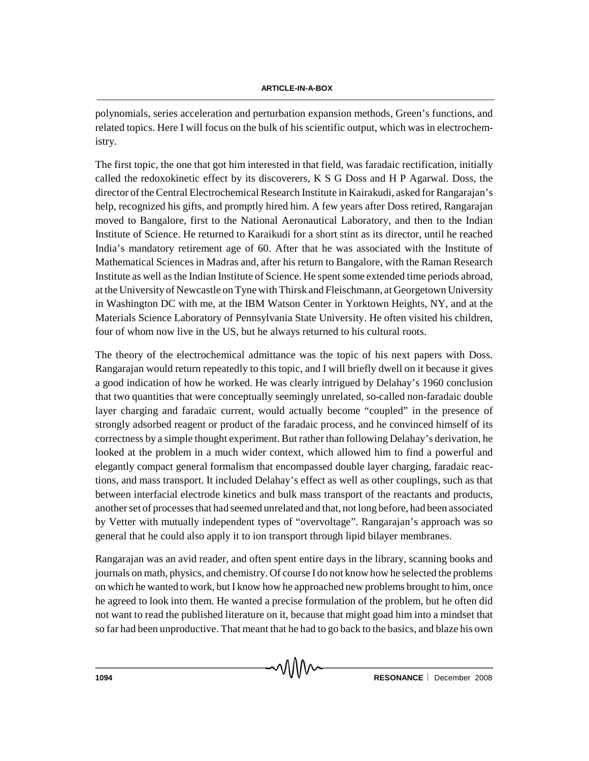polynomials, series acceleration and perturbation expansion methods, Green's functions, and related topics. Here I will focus on the bulk of his scientific output, which was in electrochemistry.

The first topic, the one that got him interested in that field, was faradaic rectification, initially called the redoxokinetic effect by its discoverers, K S G Doss and H P Agarwal. Doss, the director of the Central Electrochemical Research Institute in Kairakudi, asked for Rangarajan's help, recognized his gifts, and promptly hired him. A few years after Doss retired, Rangarajan moved to Bangalore, first to the National Aeronautical Laboratory, and then to the Indian Institute of Science. He returned to Karaikudi for a short stint as its director, until he reached India's mandatory retirement age of 60. After that he was associated with the Institute of Mathematical Sciences in Madras and, after his return to Bangalore, with the Raman Research Institute as well as the Indian Institute of Science. He spent some extended time periods abroad, at the University of Newcastle on Tyne with Thirsk and Fleischmann, at Georgetown University in Washington DC with me, at the IBM Watson Center in Yorktown Heights, NY, and at the Materials Science Laboratory of Pennsylvania State University. He often visited his children, four of whom now live in the US, but he always returned to his cultural roots.

The theory of the electrochemical admittance was the topic of his next papers with Doss. Rangarajan would return repeatedly to this topic, and I will briefly dwell on it because it gives a good indication of how he worked. He was clearly intrigued by Delahay's 1960 conclusion that two quantities that were conceptually seemingly unrelated, so-called non-faradaic double layer charging and faradaic current, would actually become "coupled" in the presence of strongly adsorbed reagent or product of the faradaic process, and he convinced himself of its correctness by a simple thought experiment. But rather than following Delahay's derivation, he looked at the problem in a much wider context, which allowed him to find a powerful and elegantly compact general formalism that encompassed double layer charging, faradaic reactions, and mass transport. It included Delahay's effect as well as other couplings, such as that between interfacial electrode kinetics and bulk mass transport of the reactants and products, another set of processes that had seemed unrelated and that, not long before, had been associated by Vetter with mutually independent types of "overvoltage". Rangarajan's approach was so general that he could also apply it to ion transport through lipid bilayer membranes.

Rangarajan was an avid reader, and often spent entire days in the library, scanning books and journals on math, physics, and chemistry. Of course I do not know how he selected the problems on which he wanted to work, but I know how he approached new problems brought to him, once he agreed to look into them. He wanted a precise formulation of the problem, but he often did not want to read the published literature on it, because that might goad him into a mindset that so far had been unproductive. That meant that he had to go back to the basics, and blaze his own